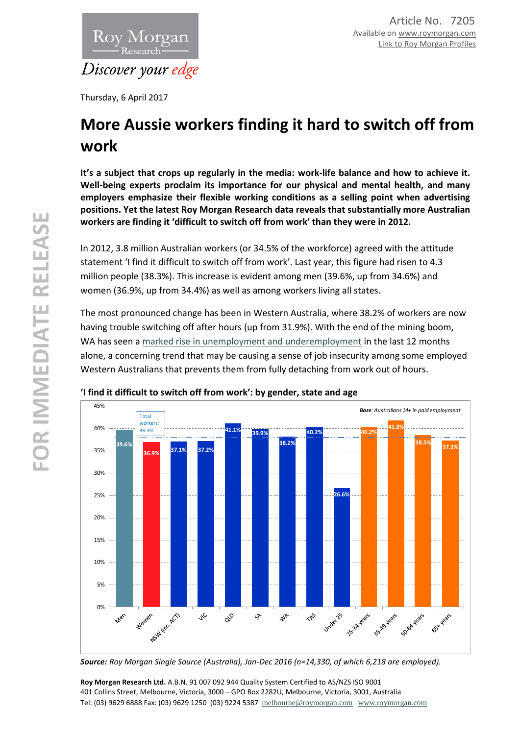

Thursday, 6 April 2017

# **More Aussie workers finding it hard to switch off from work**

**It's a subject that crops up regularly in the media: work-life balance and how to achieve it. Well-being experts proclaim its importance for our physical and mental health, and many employers emphasize their flexible working conditions as a selling point when advertising positions. Yet the latest Roy Morgan Research data reveals that substantially more Australian workers are finding it 'difficult to switch off from work' than they were in 2012.**

In 2012, 3.8 million Australian workers (or 34.5% of the workforce) agreed with the attitude statement 'I find it difficult to switch off from work'. Last year, this figure had risen to 4.3 million people (38.3%). This increase is evident among men (39.6%, up from 34.6%) and women (36.9%, up from 34.4%) as well as among workers living all states.

The most pronounced change has been in Western Australia, where 38.2% of workers are now having trouble switching off after hours (up from 31.9%). With the end of the mining boom, WA has seen a [marked rise in unemployment and underemployment](http://www.roymorgan.com/findings/7079-australian-state-unemployment-under-employment-august-october-2016-201612011545) in the last 12 months alone, a concerning trend that may be causing a sense of job insecurity among some employed Western Australians that prevents them from fully detaching from work out of hours.



## **'I find it difficult to switch off from work': by gender, state and age**

*Source: Roy Morgan Single Source (Australia), Jan-Dec 2016 (n=14,330, of which 6,218 are employed).*

**Roy Morgan Research Ltd.** A.B.N. 91 007 092 944 Quality System Certified to AS/NZS ISO 9001 401 Collins Street, Melbourne, Victoria, 3000 – GPO Box 2282U, Melbourne, Victoria, 3001, Australia Tel: (03) 9629 6888 Fax: (03) 9629 1250 (03) 9224 5387 [melbourne@roymorgan.com](mailto:melbourne@roymorgan.com) [www.roymorgan.com](http://www.roymorgan.com/)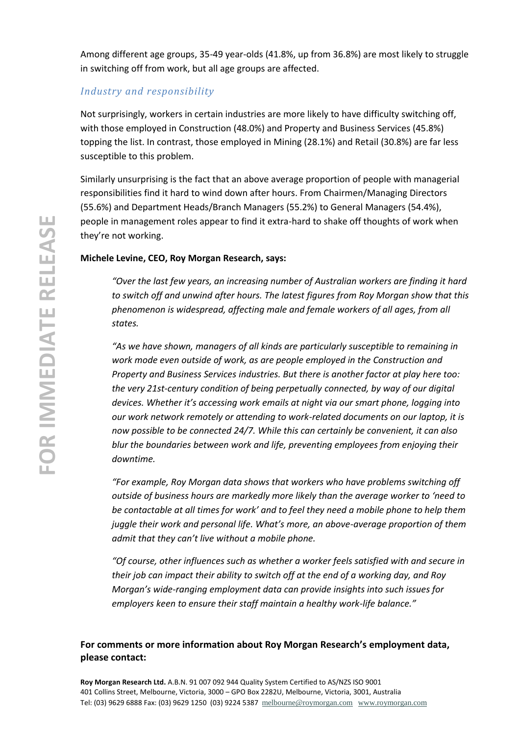Among different age groups, 35-49 year-olds (41.8%, up from 36.8%) are most likely to struggle in switching off from work, but all age groups are affected.

## *Industry and responsibility*

Not surprisingly, workers in certain industries are more likely to have difficulty switching off, with those employed in Construction (48.0%) and Property and Business Services (45.8%) topping the list. In contrast, those employed in Mining (28.1%) and Retail (30.8%) are far less susceptible to this problem.

Similarly unsurprising is the fact that an above average proportion of people with managerial responsibilities find it hard to wind down after hours. From Chairmen/Managing Directors (55.6%) and Department Heads/Branch Managers (55.2%) to General Managers (54.4%), people in management roles appear to find it extra-hard to shake off thoughts of work when they're not working.

### **Michele Levine, CEO, Roy Morgan Research, says:**

*"Over the last few years, an increasing number of Australian workers are finding it hard to switch off and unwind after hours. The latest figures from Roy Morgan show that this phenomenon is widespread, affecting male and female workers of all ages, from all states.*

*"As we have shown, managers of all kinds are particularly susceptible to remaining in work mode even outside of work, as are people employed in the Construction and Property and Business Services industries. But there is another factor at play here too: the very 21st-century condition of being perpetually connected, by way of our digital devices. Whether it's accessing work emails at night via our smart phone, logging into our work network remotely or attending to work-related documents on our laptop, it is now possible to be connected 24/7. While this can certainly be convenient, it can also blur the boundaries between work and life, preventing employees from enjoying their downtime.*

*"For example, Roy Morgan data shows that workers who have problems switching off outside of business hours are markedly more likely than the average worker to 'need to be contactable at all times for work' and to feel they need a mobile phone to help them juggle their work and personal life. What's more, an above-average proportion of them admit that they can't live without a mobile phone.* 

*"Of course, other influences such as whether a worker feels satisfied with and secure in their job can impact their ability to switch off at the end of a working day, and Roy Morgan's wide-ranging employment data can provide insights into such issues for employers keen to ensure their staff maintain a healthy work-life balance."*

## **For comments or more information about Roy Morgan Research's employment data, please contact:**